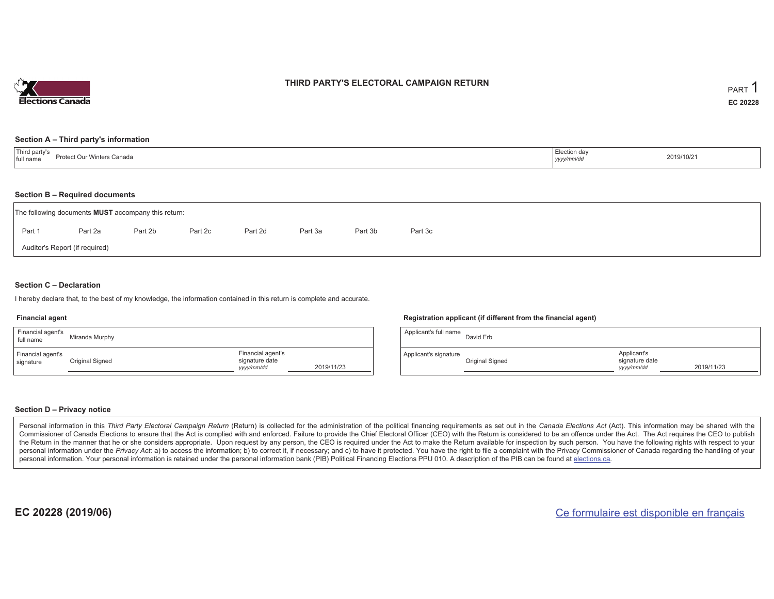

### **THIRD PARTY'S ELECTORAL CAMPAIGN RETURN**

#### **Section A – Third party's information**

| Third party's<br>Protect Our Winters Canada<br>full name | Election day<br>yyyy/mm/dr | 2019/10/21 |  |
|----------------------------------------------------------|----------------------------|------------|--|
|----------------------------------------------------------|----------------------------|------------|--|

#### **Section B – Required documents**

| The following documents <b>MUST</b> accompany this return: |         |         |         |         |         |         |         |  |  |  |  |
|------------------------------------------------------------|---------|---------|---------|---------|---------|---------|---------|--|--|--|--|
| Part 1                                                     | Part 2a | Part 2b | Part 2c | Part 2d | Part 3a | Part 3b | Part 3c |  |  |  |  |
| Auditor's Report (if required)                             |         |         |         |         |         |         |         |  |  |  |  |

#### **Section C – Declaration**

I hereby declare that, to the best of my knowledge, the information contained in this return is complete and accurate.

#### **Financial agent**

| Financial agent's<br>full name | Miranda Murphy  |                                                   |            |
|--------------------------------|-----------------|---------------------------------------------------|------------|
| Financial agent's<br>signature | Original Signed | Financial agent's<br>signature date<br>yyyy/mm/dd | 2019/11/23 |

#### **Registration applicant (if different from the financial agent)**

| Applicant's full name | David Erb       |                                             |            |
|-----------------------|-----------------|---------------------------------------------|------------|
| Applicant's signature | Original Signed | Applicant's<br>signature date<br>yyyy/mm/dd | 2019/11/23 |

#### **Section D – Privacy notice**

Personal information in this Third Party Electoral Campaign Return (Return) is collected for the administration of the political financing requirements as set out in the Canada Elections Act (Act). This information may be Commissioner of Canada Elections to ensure that the Act is complied with and enforced. Failure to provide the Chief Electoral Officer (CEO) with the Return is considered to be an offence under the Act. The Act requires the the Return in the manner that he or she considers appropriate. Upon request by any person, the CEO is required under the Act to make the Return available for inspection by such person. You have the following rights with re personal information under the Privacy Act: a) to access the information; b) to correct it, if necessary; and c) to have it protected. You have the right to file a complaint with the Privacy Commissioner of Canada regardin personal information. Your personal information is retained under the personal information bank (PIB) Political Financing Elections PPU 010. A description of the PIB can be found at elections.ca.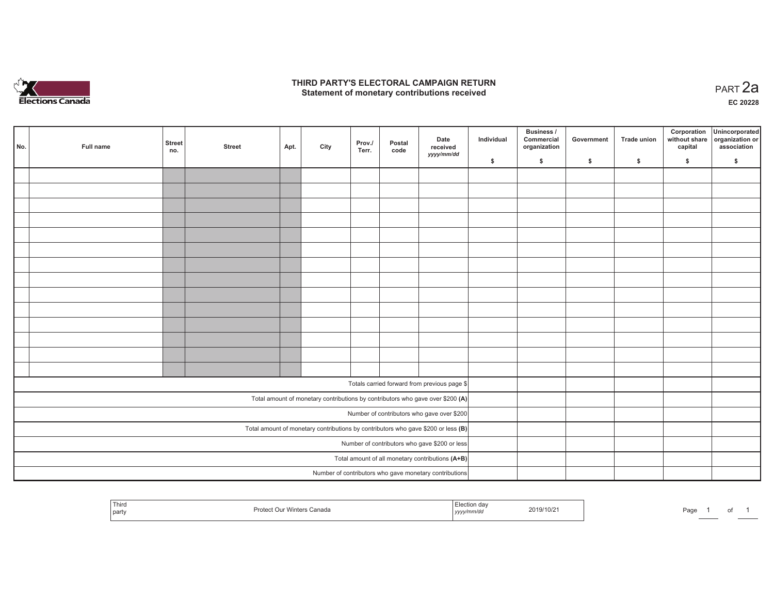

### **THIRD PARTY'S ELECTORAL CAMPAIGN RETURN HIRD PARTY'S ELECTORAL CAMPAIGN RETURN<br>Statement of monetary contributions received PART 2a**

**EC 20228**

| No.                                                                                                                          | Full name | <b>Street</b><br>no. | <b>Street</b> | Apt. | City | Prov./<br>Terr. | Postal<br>code | Date<br>received<br>yyyy/mm/dd                         | Individual | Business /<br>Commercial<br>organization | Government | Trade union | Corporation<br>without share<br>capital | Unincorporated<br>organization or<br>association |
|------------------------------------------------------------------------------------------------------------------------------|-----------|----------------------|---------------|------|------|-----------------|----------------|--------------------------------------------------------|------------|------------------------------------------|------------|-------------|-----------------------------------------|--------------------------------------------------|
|                                                                                                                              |           |                      |               |      |      |                 |                |                                                        | \$         | \$                                       | \$         | \$          | \$                                      | \$                                               |
|                                                                                                                              |           |                      |               |      |      |                 |                |                                                        |            |                                          |            |             |                                         |                                                  |
|                                                                                                                              |           |                      |               |      |      |                 |                |                                                        |            |                                          |            |             |                                         |                                                  |
|                                                                                                                              |           |                      |               |      |      |                 |                |                                                        |            |                                          |            |             |                                         |                                                  |
|                                                                                                                              |           |                      |               |      |      |                 |                |                                                        |            |                                          |            |             |                                         |                                                  |
|                                                                                                                              |           |                      |               |      |      |                 |                |                                                        |            |                                          |            |             |                                         |                                                  |
|                                                                                                                              |           |                      |               |      |      |                 |                |                                                        |            |                                          |            |             |                                         |                                                  |
|                                                                                                                              |           |                      |               |      |      |                 |                |                                                        |            |                                          |            |             |                                         |                                                  |
|                                                                                                                              |           |                      |               |      |      |                 |                |                                                        |            |                                          |            |             |                                         |                                                  |
|                                                                                                                              |           |                      |               |      |      |                 |                |                                                        |            |                                          |            |             |                                         |                                                  |
|                                                                                                                              |           |                      |               |      |      |                 |                |                                                        |            |                                          |            |             |                                         |                                                  |
|                                                                                                                              |           |                      |               |      |      |                 |                |                                                        |            |                                          |            |             |                                         |                                                  |
|                                                                                                                              |           |                      |               |      |      |                 |                |                                                        |            |                                          |            |             |                                         |                                                  |
|                                                                                                                              |           |                      |               |      |      |                 |                |                                                        |            |                                          |            |             |                                         |                                                  |
|                                                                                                                              |           |                      |               |      |      |                 |                |                                                        |            |                                          |            |             |                                         |                                                  |
|                                                                                                                              |           |                      |               |      |      |                 |                | Totals carried forward from previous page \$           |            |                                          |            |             |                                         |                                                  |
|                                                                                                                              |           |                      |               |      |      |                 |                |                                                        |            |                                          |            |             |                                         |                                                  |
| Total amount of monetary contributions by contributors who gave over \$200 (A)<br>Number of contributors who gave over \$200 |           |                      |               |      |      |                 |                |                                                        |            |                                          |            |             |                                         |                                                  |
| Total amount of monetary contributions by contributors who gave \$200 or less $(B)$                                          |           |                      |               |      |      |                 |                |                                                        |            |                                          |            |             |                                         |                                                  |
|                                                                                                                              |           |                      |               |      |      |                 |                |                                                        |            |                                          |            |             |                                         |                                                  |
| Number of contributors who gave \$200 or less<br>Total amount of all monetary contributions (A+B)                            |           |                      |               |      |      |                 |                |                                                        |            |                                          |            |             |                                         |                                                  |
|                                                                                                                              |           |                      |               |      |      |                 |                |                                                        |            |                                          |            |             |                                         |                                                  |
|                                                                                                                              |           |                      |               |      |      |                 |                | Number of contributors who gave monetary contributions |            |                                          |            |             |                                         |                                                  |

| <sup>1</sup> Third<br>party |  | 2019/10/2<br>the contract of the contract of the contract of the contract of the contract of<br>,,,,, | ה כ<br>-aut<br>- - - |
|-----------------------------|--|-------------------------------------------------------------------------------------------------------|----------------------|
|-----------------------------|--|-------------------------------------------------------------------------------------------------------|----------------------|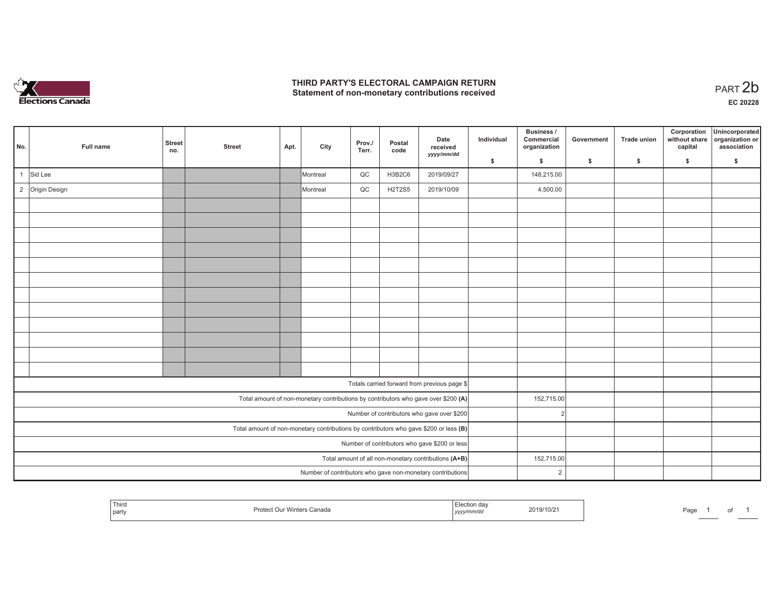

## **THIRD PARTY'S ELECTORAL CAMPAIGN RETURN**  THIRD PARTY'S ELECTORAL CAMPAIGN RETURN<br>Statement of non-monetary contributions received<br> **PART 2b**

| No. |                                                                                         | Full name       | <b>Street</b><br>no. | <b>Street</b> | Apt. | City     | Prov./<br>Terr. | Postal<br>code | Date<br>received<br>yyyy/mm/dd                                                     | Individual | Business /<br>Commercial<br>organization | Government | <b>Trade union</b> | Corporation<br>without share<br>capital | Unincorporated<br>organization or<br>association |
|-----|-----------------------------------------------------------------------------------------|-----------------|----------------------|---------------|------|----------|-----------------|----------------|------------------------------------------------------------------------------------|------------|------------------------------------------|------------|--------------------|-----------------------------------------|--------------------------------------------------|
|     |                                                                                         |                 |                      |               |      |          |                 |                |                                                                                    | \$         | \$                                       | \$         | $\mathbf{s}$       | \$                                      | \$                                               |
|     |                                                                                         | Sid Lee         |                      |               |      | Montreal | QC              | <b>H3B2C6</b>  | 2019/09/27                                                                         |            | 148,215.00                               |            |                    |                                         |                                                  |
|     |                                                                                         | 2 Origin Design |                      |               |      | Montreal | QC              | <b>H2T2S5</b>  | 2019/10/09                                                                         |            | 4,500.00                                 |            |                    |                                         |                                                  |
|     |                                                                                         |                 |                      |               |      |          |                 |                |                                                                                    |            |                                          |            |                    |                                         |                                                  |
|     |                                                                                         |                 |                      |               |      |          |                 |                |                                                                                    |            |                                          |            |                    |                                         |                                                  |
|     |                                                                                         |                 |                      |               |      |          |                 |                |                                                                                    |            |                                          |            |                    |                                         |                                                  |
|     |                                                                                         |                 |                      |               |      |          |                 |                |                                                                                    |            |                                          |            |                    |                                         |                                                  |
|     |                                                                                         |                 |                      |               |      |          |                 |                |                                                                                    |            |                                          |            |                    |                                         |                                                  |
|     |                                                                                         |                 |                      |               |      |          |                 |                |                                                                                    |            |                                          |            |                    |                                         |                                                  |
|     |                                                                                         |                 |                      |               |      |          |                 |                |                                                                                    |            |                                          |            |                    |                                         |                                                  |
|     |                                                                                         |                 |                      |               |      |          |                 |                |                                                                                    |            |                                          |            |                    |                                         |                                                  |
|     |                                                                                         |                 |                      |               |      |          |                 |                |                                                                                    |            |                                          |            |                    |                                         |                                                  |
|     |                                                                                         |                 |                      |               |      |          |                 |                |                                                                                    |            |                                          |            |                    |                                         |                                                  |
|     |                                                                                         |                 |                      |               |      |          |                 |                |                                                                                    |            |                                          |            |                    |                                         |                                                  |
|     |                                                                                         |                 |                      |               |      |          |                 |                |                                                                                    |            |                                          |            |                    |                                         |                                                  |
|     |                                                                                         |                 |                      |               |      |          |                 |                | Totals carried forward from previous page \$                                       |            |                                          |            |                    |                                         |                                                  |
|     |                                                                                         |                 |                      |               |      |          |                 |                | Total amount of non-monetary contributions by contributors who gave over \$200 (A) |            | 152,715.00                               |            |                    |                                         |                                                  |
|     | Number of contributors who gave over \$200                                              |                 |                      |               |      |          |                 |                |                                                                                    |            | $\overline{2}$                           |            |                    |                                         |                                                  |
|     | Total amount of non-monetary contributions by contributors who gave \$200 or less $(B)$ |                 |                      |               |      |          |                 |                |                                                                                    |            |                                          |            |                    |                                         |                                                  |
|     | Number of contributors who gave \$200 or less                                           |                 |                      |               |      |          |                 |                |                                                                                    |            |                                          |            |                    |                                         |                                                  |
|     | Total amount of all non-monetary contributions $(A+B)$                                  |                 |                      |               |      |          |                 |                |                                                                                    |            | 152,715.00                               |            |                    |                                         |                                                  |
|     |                                                                                         |                 |                      |               |      |          |                 |                | Number of contributors who gave non-monetary contributions                         |            | 2                                        |            |                    |                                         |                                                  |

|  | Third<br>  party | Canada<br>vvinters<br>∽готе | rion day<br>  УУУУ<br><del></del> | 2019/10/2 | Page |  |  |  |
|--|------------------|-----------------------------|-----------------------------------|-----------|------|--|--|--|
|--|------------------|-----------------------------|-----------------------------------|-----------|------|--|--|--|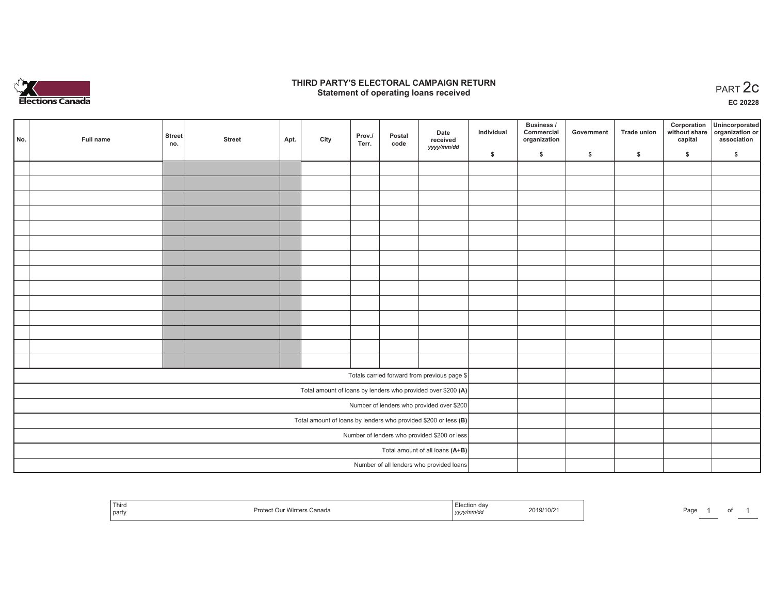

### **THIRD PARTY'S ELECTORAL CAMPAIGN RETURN STATE:** PARTY'S ELECTORAL CAMPAIGN RETURN<br>
Statement of operating loans received

**EC 20228**

|                                 | No.                                                               | Full name | <b>Street</b><br>no. | <b>Street</b> | Apt. | City | Prov./<br>Terr. | Postal<br>code | Date<br>received                                             | Individual | Business /<br>Commercial<br>organization | Government | Trade union | Corporation<br>capital | Unincorporated<br>without share organization or<br>association |
|---------------------------------|-------------------------------------------------------------------|-----------|----------------------|---------------|------|------|-----------------|----------------|--------------------------------------------------------------|------------|------------------------------------------|------------|-------------|------------------------|----------------------------------------------------------------|
|                                 |                                                                   |           |                      |               |      |      |                 |                | yyyy/mm/dd                                                   | \$         | \$                                       | \$         | \$          | \$                     | \$                                                             |
|                                 |                                                                   |           |                      |               |      |      |                 |                |                                                              |            |                                          |            |             |                        |                                                                |
|                                 |                                                                   |           |                      |               |      |      |                 |                |                                                              |            |                                          |            |             |                        |                                                                |
|                                 |                                                                   |           |                      |               |      |      |                 |                |                                                              |            |                                          |            |             |                        |                                                                |
|                                 |                                                                   |           |                      |               |      |      |                 |                |                                                              |            |                                          |            |             |                        |                                                                |
|                                 |                                                                   |           |                      |               |      |      |                 |                |                                                              |            |                                          |            |             |                        |                                                                |
|                                 |                                                                   |           |                      |               |      |      |                 |                |                                                              |            |                                          |            |             |                        |                                                                |
|                                 |                                                                   |           |                      |               |      |      |                 |                |                                                              |            |                                          |            |             |                        |                                                                |
|                                 |                                                                   |           |                      |               |      |      |                 |                |                                                              |            |                                          |            |             |                        |                                                                |
|                                 |                                                                   |           |                      |               |      |      |                 |                |                                                              |            |                                          |            |             |                        |                                                                |
|                                 |                                                                   |           |                      |               |      |      |                 |                |                                                              |            |                                          |            |             |                        |                                                                |
|                                 |                                                                   |           |                      |               |      |      |                 |                |                                                              |            |                                          |            |             |                        |                                                                |
|                                 |                                                                   |           |                      |               |      |      |                 |                |                                                              |            |                                          |            |             |                        |                                                                |
|                                 |                                                                   |           |                      |               |      |      |                 |                |                                                              |            |                                          |            |             |                        |                                                                |
|                                 |                                                                   |           |                      |               |      |      |                 |                |                                                              |            |                                          |            |             |                        |                                                                |
|                                 |                                                                   |           |                      |               |      |      |                 |                | Totals carried forward from previous page \$                 |            |                                          |            |             |                        |                                                                |
|                                 |                                                                   |           |                      |               |      |      |                 |                | Total amount of loans by lenders who provided over \$200 (A) |            |                                          |            |             |                        |                                                                |
|                                 | Number of lenders who provided over \$200                         |           |                      |               |      |      |                 |                |                                                              |            |                                          |            |             |                        |                                                                |
|                                 | Total amount of loans by lenders who provided \$200 or less $(B)$ |           |                      |               |      |      |                 |                |                                                              |            |                                          |            |             |                        |                                                                |
|                                 | Number of lenders who provided \$200 or less                      |           |                      |               |      |      |                 |                |                                                              |            |                                          |            |             |                        |                                                                |
| Total amount of all loans (A+B) |                                                                   |           |                      |               |      |      |                 |                |                                                              |            |                                          |            |             |                        |                                                                |
|                                 |                                                                   |           |                      |               |      |      |                 |                | Number of all lenders who provided loans                     |            |                                          |            |             |                        |                                                                |

| Third<br>  party | imtn<br>Prote<br>าters Canada<br>,,,,, | ∍≂u∪∩ αav<br>m/a<br>ーノンソン | 2019/10/2 | Page |  |  |  |
|------------------|----------------------------------------|---------------------------|-----------|------|--|--|--|
|------------------|----------------------------------------|---------------------------|-----------|------|--|--|--|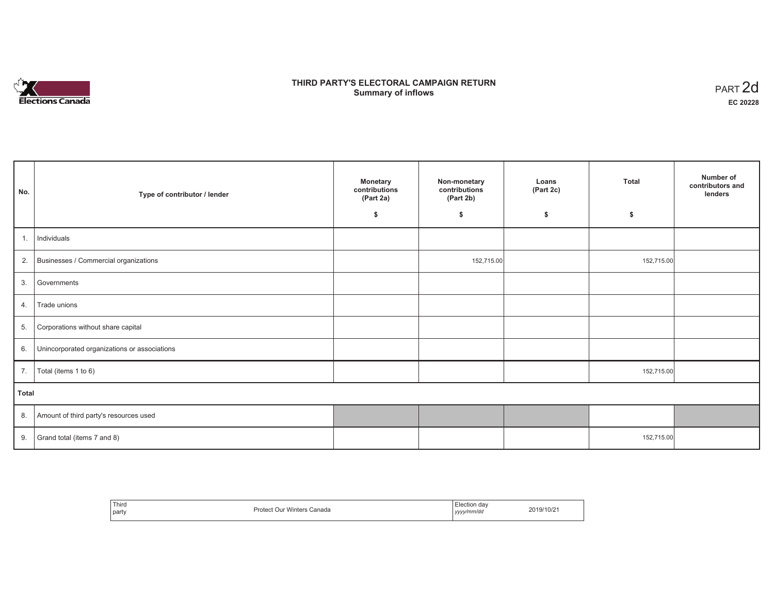# **Elections Canada**

## **THIRD PARTY'S ELECTORAL CAMPAIGN RETURN Summary of inflows**

| PART <sub>2d</sub> |
|--------------------|
| EC 20228           |

|              |                                              |                                               |                                            |                    |              | Number of                   |
|--------------|----------------------------------------------|-----------------------------------------------|--------------------------------------------|--------------------|--------------|-----------------------------|
| No.          | Type of contributor / lender                 | <b>Monetary</b><br>contributions<br>(Part 2a) | Non-monetary<br>contributions<br>(Part 2b) | Loans<br>(Part 2c) | <b>Total</b> | contributors and<br>lenders |
|              |                                              | \$                                            | \$                                         | \$                 | \$           |                             |
|              |                                              |                                               |                                            |                    |              |                             |
| 1.           | Individuals                                  |                                               |                                            |                    |              |                             |
| 2.           | Businesses / Commercial organizations        |                                               | 152,715.00                                 |                    | 152,715.00   |                             |
| 3.           | Governments                                  |                                               |                                            |                    |              |                             |
| 4.           | Trade unions                                 |                                               |                                            |                    |              |                             |
| 5.           | Corporations without share capital           |                                               |                                            |                    |              |                             |
| 6.           | Unincorporated organizations or associations |                                               |                                            |                    |              |                             |
| 7.           | Total (items 1 to 6)                         |                                               |                                            |                    | 152,715.00   |                             |
| <b>Total</b> |                                              |                                               |                                            |                    |              |                             |
| 8.           | Amount of third party's resources used       |                                               |                                            |                    |              |                             |
| 9.           | Grand total (items 7 and 8)                  |                                               |                                            |                    | 152,715.00   |                             |

| Third<br>party | <b>Protect Our Winters</b><br>Canada | Election dav<br>yyyy/mm/dd<br>,,,,, | 2019/10/2 |
|----------------|--------------------------------------|-------------------------------------|-----------|
|----------------|--------------------------------------|-------------------------------------|-----------|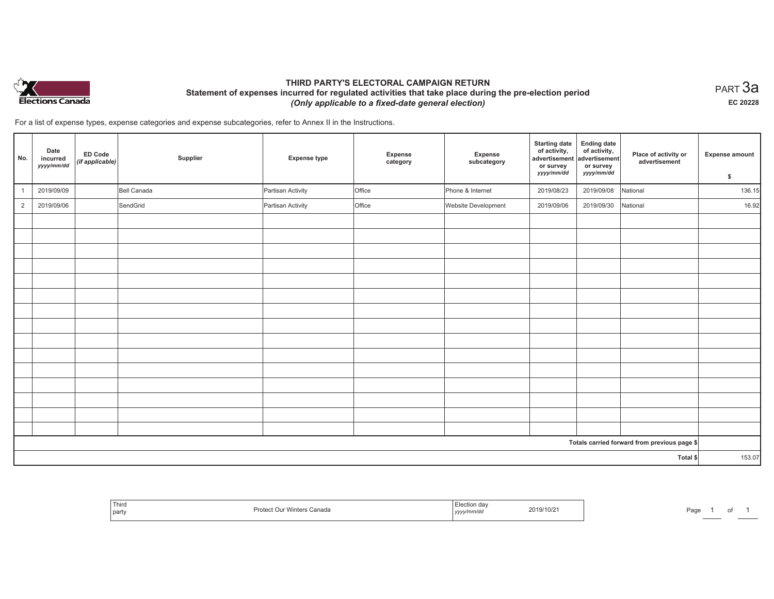

## **THIRD PARTY'S ELECTORAL CAMPAIGN RETURN Statement of expenses incurred for regulated activities that take place during the pre-election period**  *(Only applicable to a fixed-date general election)*

 $_{\sf PART}$ 3a **EC 20228**

For a list of expense types, expense categories and expense subcategories, refer to Annex II in the Instructions.

| No.            | Date<br>incurred<br>yyyy/mm/dd | ED Code<br>(if applicable) | Supplier    | <b>Expense type</b> | Expense<br>category | Expense<br>subcategory | <b>Starting date</b><br>of activity,<br>advertisement<br>or survey<br>yyyy/mm/dd | <b>Ending date</b><br>of activity,<br>advertisement<br>or survey<br>yyyy/mm/dd | Place of activity or<br>advertisement        | <b>Expense amount</b><br>\$ |
|----------------|--------------------------------|----------------------------|-------------|---------------------|---------------------|------------------------|----------------------------------------------------------------------------------|--------------------------------------------------------------------------------|----------------------------------------------|-----------------------------|
|                | 2019/09/09                     |                            | Bell Canada | Partisan Activity   | Office              | Phone & Internet       | 2019/08/23                                                                       | 2019/09/08                                                                     | National                                     | 136.15                      |
| $\overline{2}$ | 2019/09/06                     |                            | SendGrid    | Partisan Activity   | Office              | Website Development    | 2019/09/06                                                                       | 2019/09/30                                                                     | National                                     | 16.92                       |
|                |                                |                            |             |                     |                     |                        |                                                                                  |                                                                                |                                              |                             |
|                |                                |                            |             |                     |                     |                        |                                                                                  |                                                                                |                                              |                             |
|                |                                |                            |             |                     |                     |                        |                                                                                  |                                                                                |                                              |                             |
|                |                                |                            |             |                     |                     |                        |                                                                                  |                                                                                |                                              |                             |
|                |                                |                            |             |                     |                     |                        |                                                                                  |                                                                                |                                              |                             |
|                |                                |                            |             |                     |                     |                        |                                                                                  |                                                                                |                                              |                             |
|                |                                |                            |             |                     |                     |                        |                                                                                  |                                                                                |                                              |                             |
|                |                                |                            |             |                     |                     |                        |                                                                                  |                                                                                |                                              |                             |
|                |                                |                            |             |                     |                     |                        |                                                                                  |                                                                                |                                              |                             |
|                |                                |                            |             |                     |                     |                        |                                                                                  |                                                                                |                                              |                             |
|                |                                |                            |             |                     |                     |                        |                                                                                  |                                                                                |                                              |                             |
|                |                                |                            |             |                     |                     |                        |                                                                                  |                                                                                |                                              |                             |
|                |                                |                            |             |                     |                     |                        |                                                                                  |                                                                                |                                              |                             |
|                |                                |                            |             |                     |                     |                        |                                                                                  |                                                                                |                                              |                             |
|                |                                |                            |             |                     |                     |                        |                                                                                  |                                                                                |                                              |                             |
|                |                                |                            |             |                     |                     |                        |                                                                                  |                                                                                | Totals carried forward from previous page \$ |                             |
|                |                                |                            |             |                     |                     |                        |                                                                                  |                                                                                | Total \$                                     | 153.07                      |

| <sup>1</sup> Thir<br>Proteu<br>party | Winters Canada<br>111<br>, уууу " | 19/1″–<br>/10/2<br>. | ⊡∩∼<br>-ay |
|--------------------------------------|-----------------------------------|----------------------|------------|
|--------------------------------------|-----------------------------------|----------------------|------------|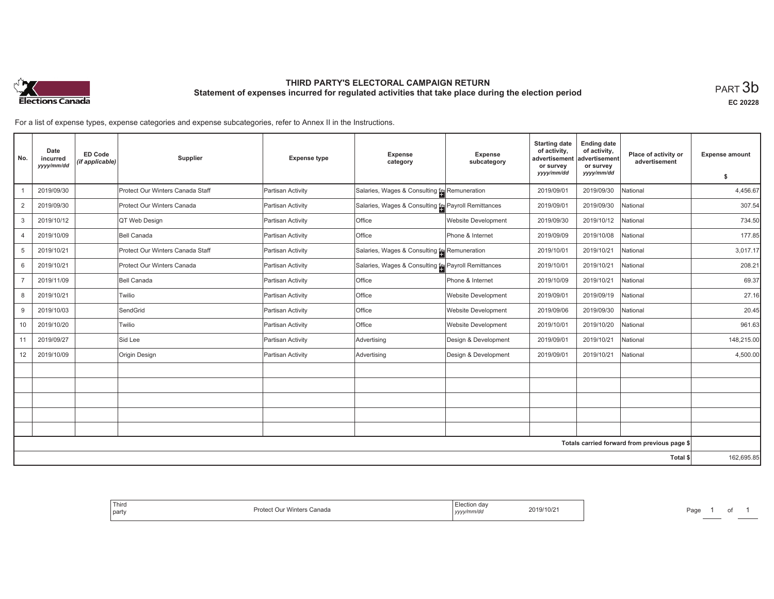

# **THIRD PARTY'S ELECTORAL CAMPAIGN RETURN Statement of expenses incurred for regulated activities that take place during the election period**<br>PART  $3\mathsf{b}$

**EC 20228**

For a list of expense types, expense categories and expense subcategories, refer to Annex II in the Instructions.

| No.            | Date<br>incurred<br>yyyy/mm/dd | ED Code<br>(if applicable) | Supplier                         | <b>Expense type</b> | Expense<br>category                                  | Expense<br>subcategory     | <b>Starting date</b><br>of activity,<br>advertisement<br>or survey | <b>Ending date</b><br>of activity,<br>advertisement<br>or survey | Place of activity or<br>advertisement        | <b>Expense amount</b> |
|----------------|--------------------------------|----------------------------|----------------------------------|---------------------|------------------------------------------------------|----------------------------|--------------------------------------------------------------------|------------------------------------------------------------------|----------------------------------------------|-----------------------|
|                |                                |                            |                                  |                     |                                                      |                            | yyyy/mm/dd                                                         | yyyy/mm/dd                                                       |                                              | \$                    |
|                | 2019/09/30                     |                            | Protect Our Winters Canada Staff | Partisan Activity   | Salaries, Wages & Consulting for Remuneration        |                            | 2019/09/01                                                         | 2019/09/30                                                       | National                                     | 4,456.67              |
| 2              | 2019/09/30                     |                            | Protect Our Winters Canada       | Partisan Activity   | Salaries, Wages & Consulting [e] Payroll Remittances |                            | 2019/09/01                                                         | 2019/09/30                                                       | National                                     | 307.54                |
| 3              | 2019/10/12                     |                            | QT Web Design                    | Partisan Activity   | Office                                               | Website Development        | 2019/09/30                                                         | 2019/10/12                                                       | National                                     | 734.50                |
| $\overline{4}$ | 2019/10/09                     |                            | Bell Canada                      | Partisan Activity   | Office                                               | Phone & Internet           | 2019/09/09                                                         | 2019/10/08                                                       | National                                     | 177.85                |
| 5              | 2019/10/21                     |                            | Protect Our Winters Canada Staff | Partisan Activity   | Salaries, Wages & Consulting [e] Remuneration        |                            | 2019/10/01                                                         | 2019/10/21                                                       | National                                     | 3,017.17              |
| 6              | 2019/10/21                     |                            | Protect Our Winters Canada       | Partisan Activity   | Salaries, Wages & Consulting [e] Payroll Remittances |                            | 2019/10/01                                                         | 2019/10/21                                                       | National                                     | 208.21                |
|                | 2019/11/09                     |                            | <b>Bell Canada</b>               | Partisan Activity   | Office                                               | Phone & Internet           | 2019/10/09                                                         | 2019/10/21                                                       | National                                     | 69.37                 |
| 8              | 2019/10/21                     |                            | Twilio                           | Partisan Activity   | Office                                               | <b>Website Development</b> | 2019/09/01                                                         | 2019/09/19                                                       | National                                     | 27.16                 |
| 9              | 2019/10/03                     |                            | SendGrid                         | Partisan Activity   | Office                                               | <b>Website Development</b> | 2019/09/06                                                         | 2019/09/30                                                       | National                                     | 20.45                 |
| 10             | 2019/10/20                     |                            | Twilio                           | Partisan Activity   | Office                                               | <b>Website Development</b> | 2019/10/01                                                         | 2019/10/20                                                       | National                                     | 961.63                |
| 11             | 2019/09/27                     |                            | Sid Lee                          | Partisan Activity   | Advertising                                          | Design & Development       | 2019/09/01                                                         | 2019/10/21                                                       | National                                     | 148,215.00            |
| 12             | 2019/10/09                     |                            | Origin Design                    | Partisan Activity   | Advertising                                          | Design & Development       | 2019/09/01                                                         | 2019/10/21                                                       | National                                     | 4,500.00              |
|                |                                |                            |                                  |                     |                                                      |                            |                                                                    |                                                                  |                                              |                       |
|                |                                |                            |                                  |                     |                                                      |                            |                                                                    |                                                                  |                                              |                       |
|                |                                |                            |                                  |                     |                                                      |                            |                                                                    |                                                                  |                                              |                       |
|                |                                |                            |                                  |                     |                                                      |                            |                                                                    |                                                                  |                                              |                       |
|                |                                |                            |                                  |                     |                                                      |                            |                                                                    |                                                                  |                                              |                       |
|                |                                |                            |                                  |                     |                                                      |                            |                                                                    |                                                                  | Totals carried forward from previous page \$ |                       |
|                |                                |                            |                                  |                     |                                                      |                            |                                                                    |                                                                  | Total \$                                     | 162,695.85            |

| ≞lection dav<br>2019/10/21<br>, yyyy/mm/dd | Third<br>Protect Our Winters Canada<br>party |
|--------------------------------------------|----------------------------------------------|
|--------------------------------------------|----------------------------------------------|